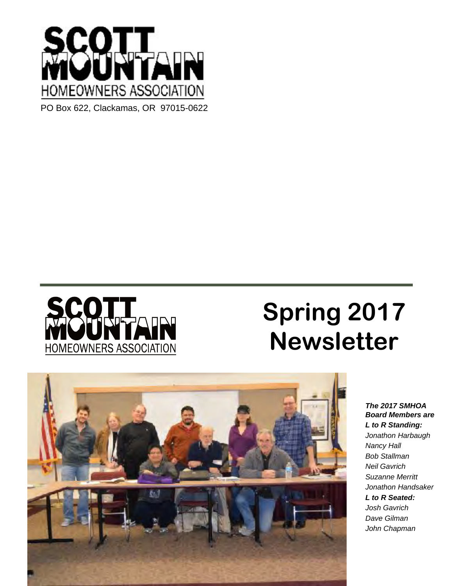



# **Spring 2017 Newsletter**



*The 2017 SMHOA Board Members are L to R Standing: Jonathon Harbaugh Nancy Hall Bob Stallman Neil Gavrich Suzanne Merritt Jonathon Handsaker L to R Seated: Josh Gavrich Dave Gilman John Chapman*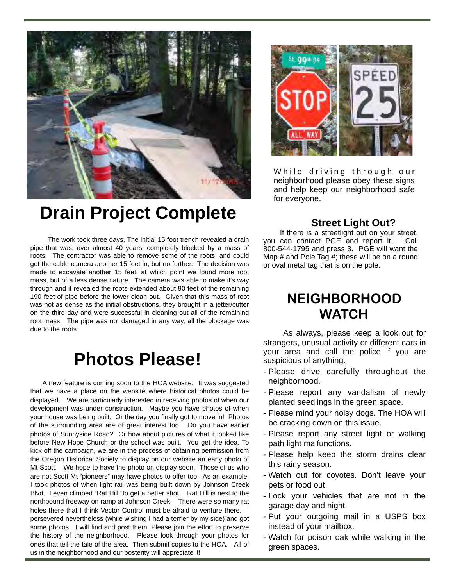

# **Drain Project Complete**

 The work took three days. The initial 15 foot trench revealed a drain pipe that was, over almost 40 years, completely blocked by a mass of roots. The contractor was able to remove some of the roots, and could get the cable camera another 15 feet in, but no further. The decision was made to excavate another 15 feet, at which point we found more root mass, but of a less dense nature. The camera was able to make it's way through and it revealed the roots extended about 90 feet of the remaining 190 feet of pipe before the lower clean out. Given that this mass of root was not as dense as the initial obstructions, they brought in a jetter/cutter on the third day and were successful in cleaning out all of the remaining root mass. The pipe was not damaged in any way, all the blockage was due to the roots.

## **Photos Please!**

 A new feature is coming soon to the HOA website. It was suggested that we have a place on the website where historical photos could be displayed. We are particularly interested in receiving photos of when our development was under construction. Maybe you have photos of when your house was being built. Or the day you finally got to move in! Photos of the surrounding area are of great interest too. Do you have earlier photos of Sunnyside Road? Or how about pictures of what it looked like before New Hope Church or the school was built. You get the idea. To kick off the campaign, we are in the process of obtaining permission from the Oregon Historical Society to display on our website an early photo of Mt Scott. We hope to have the photo on display soon. Those of us who are not Scott Mt "pioneers" may have photos to offer too. As an example, I took photos of when light rail was being built down by Johnson Creek Blvd. I even climbed "Rat Hill" to get a better shot. Rat Hill is next to the northbound freeway on ramp at Johnson Creek. There were so many rat holes there that I think Vector Control must be afraid to venture there. I persevered nevertheless (while wishing I had a terrier by my side) and got some photos. I will find and post them. Please join the effort to preserve the history of the neighborhood. Please look through your photos for ones that tell the tale of the area. Then submit copies to the HOA. All of us in the neighborhood and our posterity will appreciate it!



While driving through our neighborhood please obey these signs and help keep our neighborhood safe for everyone.

#### **Street Light Out?**

If there is a streetlight out on your street, you can contact PGE and report it. Call 800-544-1795 and press 3. PGE will want the Map # and Pole Tag #; these will be on a round or oval metal tag that is on the pole.

### **NEIGHBORHOOD WATCH**

As always, please keep a look out for strangers, unusual activity or different cars in your area and call the police if you are suspicious of anything.

- Please drive carefully throughout the neighborhood.
- Please report any vandalism of newly planted seedlings in the green space.
- Please mind your noisy dogs. The HOA will be cracking down on this issue.
- Please report any street light or walking path light malfunctions.
- Please help keep the storm drains clear this rainy season.
- Watch out for coyotes. Don't leave your pets or food out.
- Lock your vehicles that are not in the garage day and night.
- Put your outgoing mail in a USPS box instead of your mailbox.
- Watch for poison oak while walking in the green spaces.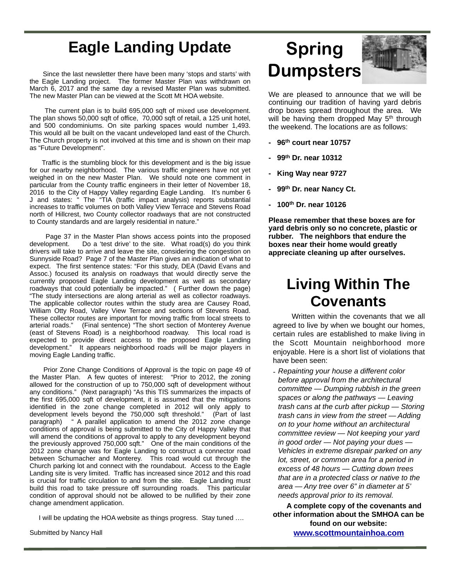### **Eagle Landing Update**

 Since the last newsletter there have been many 'stops and starts' with the Eagle Landing project. The former Master Plan was withdrawn on March 6, 2017 and the same day a revised Master Plan was submitted. The new Master Plan can be viewed at the Scott Mt HOA website.

 The current plan is to build 695,000 sqft of mixed use development. The plan shows 50,000 sqft of office, 70,000 sqft of retail, a 125 unit hotel, and 500 condominiums. On site parking spaces would number 1,493. This would all be built on the vacant undeveloped land east of the Church. The Church property is not involved at this time and is shown on their map as "Future Development".

 Traffic is the stumbling block for this development and is the big issue for our nearby neighborhood. The various traffic engineers have not yet weighed in on the new Master Plan. We should note one comment in particular from the County traffic engineers in their letter of November 18, 2016 to the City of Happy Valley regarding Eagle Landing. It's number 6 J and states: " The "TIA (traffic impact analysis) reports substantial increases to traffic volumes on both Valley View Terrace and Stevens Road north of Hillcrest, two County collector roadways that are not constructed to County standards and are largely residential in nature."

 Page 37 in the Master Plan shows access points into the proposed development. Do a 'test drive' to the site. What road(s) do you think drivers will take to arrive and leave the site, considering the congestion on Sunnyside Road? Page 7 of the Master Plan gives an indication of what to expect. The first sentence states: "For this study, DEA (David Evans and Assoc.) focused its analysis on roadways that would directly serve the currently proposed Eagle Landing development as well as secondary roadways that could potentially be impacted." ( Further down the page) "The study intersections are along arterial as well as collector roadways. The applicable collector routes within the study area are Causey Road, William Otty Road, Valley View Terrace and sections of Stevens Road. These collector routes are important for moving traffic from local streets to arterial roads." (Final sentence) "The short section of Monterey Avenue (east of Stevens Road) is a neighborhood roadway. This local road is expected to provide direct access to the proposed Eagle Landing development." It appears neighborhood roads will be major players in moving Eagle Landing traffic.

 Prior Zone Change Conditions of Approval is the topic on page 49 of the Master Plan. A few quotes of interest: "Prior to 2012, the zoning allowed for the construction of up to 750,000 sqft of development without any conditions." (Next paragraph) "As this TIS summarizes the impacts of the first 695,000 sqft of development, it is assumed that the mitigations identified in the zone change completed in 2012 will only apply to development levels beyond the 750,000 sqft threshold." (Part of last paragraph) " A parallel application to amend the 2012 zone change conditions of approval is being submitted to the City of Happy Valley that will amend the conditions of approval to apply to any development beyond the previously approved 750,000 sqft." One of the main conditions of the 2012 zone change was for Eagle Landing to construct a connector road between Schumacher and Monterey. This road would cut through the Church parking lot and connect with the roundabout. Access to the Eagle Landing site is very limited. Traffic has increased since 2012 and this road is crucial for traffic circulation to and from the site. Eagle Landing must build this road to take pressure off surrounding roads. This particular condition of approval should not be allowed to be nullified by their zone change amendment application.

I will be updating the HOA website as things progress. Stay tuned ….

Submitted by Nancy Hall

# **Spring Dumpsters**



We are pleased to announce that we will be continuing our tradition of having yard debris drop boxes spread throughout the area. We will be having them dropped May 5<sup>th</sup> through the weekend. The locations are as follows:

- **96th court near 10757**
- **99th Dr. near 10312**
- **King Way near 9727**
- **99th Dr. near Nancy Ct.**
- **100th Dr. near 10126**

**Please remember that these boxes are for yard debris only so no concrete, plastic or rubber. The neighbors that endure the boxes near their home would greatly appreciate cleaning up after ourselves.** 

## **Living Within The Covenants**

 Written within the covenants that we all agreed to live by when we bought our homes, certain rules are established to make living in the Scott Mountain neighborhood more enjoyable. Here is a short list of violations that have been seen:

*- Repainting your house a different color before approval from the architectural committee — Dumping rubbish in the green spaces or along the pathways — Leaving trash cans at the curb after pickup — Storing trash cans in view from the street — Adding on to your home without an architectural committee review — Not keeping your yard in good order — Not paying your dues — Vehicles in extreme disrepair parked on any lot, street, or common area for a period in excess of 48 hours — Cutting down trees that are in a protected class or native to the area — Any tree over 6" in diameter at 5' needs approval prior to its removal.*

 **A complete copy of the covenants and other information about the SMHOA can be found on our website: [www.scottmountainhoa.com](http://www.scottmountainhoa.com)**